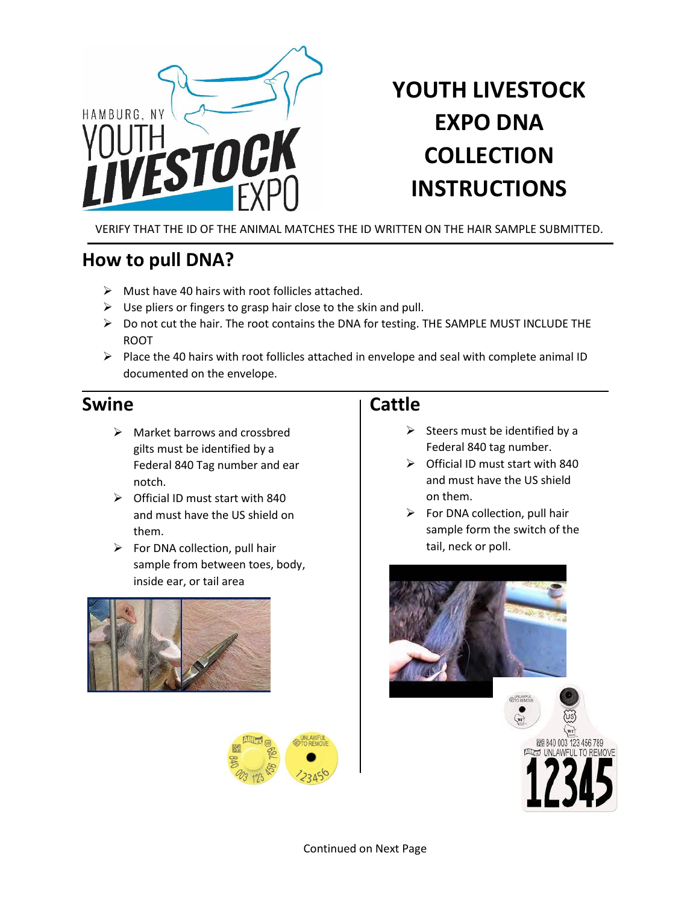

# **YOUTH LIVESTOCK EXPO DNA COLLECTION INSTRUCTIONS**

VERIFY THAT THE ID OF THE ANIMAL MATCHES THE ID WRITTEN ON THE HAIR SAMPLE SUBMITTED.

# **How to pull DNA?**

- $\triangleright$  Must have 40 hairs with root follicles attached.
- $\triangleright$  Use pliers or fingers to grasp hair close to the skin and pull.
- ➢ Do not cut the hair. The root contains the DNA for testing. THE SAMPLE MUST INCLUDE THE ROOT
- ➢ Place the 40 hairs with root follicles attached in envelope and seal with complete animal ID documented on the envelope.

## **Swine Cattle**

- ➢ Market barrows and crossbred gilts must be identified by a Federal 840 Tag number and ear notch.
- ➢ Official ID must start with 840 and must have the US shield on them.
- $\triangleright$  For DNA collection, pull hair sample from between toes, body, inside ear, or tail area





- $\triangleright$  Steers must be identified by a Federal 840 tag number.
- ➢ Official ID must start with 840 and must have the US shield on them.
- $\triangleright$  For DNA collection, pull hair sample form the switch of the tail, neck or poll.



Continued on Next Page